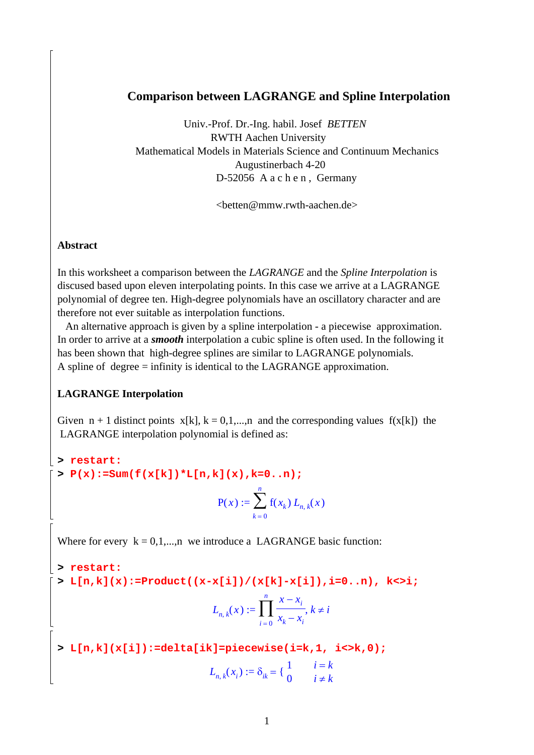### **Comparison between LAGRANGE and Spline Interpolation**

 Univ.-Prof. Dr.-Ing. habil. Josef *BETTEN* RWTH Aachen University Mathematical Models in Materials Science and Continuum Mechanics Augustinerbach 4-20 D-52056 A a c h e n , Germany

<betten@mmw.rwth-aachen.de>

#### **Abstract**

In this worksheet a comparison between the *LAGRANGE* and the *Spline Interpolation* is discused based upon eleven interpolating points. In this case we arrive at a LAGRANGE polynomial of degree ten. High-degree polynomials have an oscillatory character and are therefore not ever suitable as interpolation functions.

 An alternative approach is given by a spline interpolation - a piecewise approximation. In order to arrive at a *smooth* interpolation a cubic spline is often used. In the following it has been shown that high-degree splines are similar to LAGRANGE polynomials. A spline of degree = infinity is identical to the LAGRANGE approximation.

#### **LAGRANGE Interpolation**

Given  $n + 1$  distinct points  $x[k], k = 0,1,...,n$  and the corresponding values  $f(x[k])$  the LAGRANGE interpolation polynomial is defined as:

**> restart: > P(x):=Sum(f(x[k])\*L[n,k](x),k=0..n);**

$$
P(x) := \sum_{k=0}^{n} f(x_k) L_{n, k}(x)
$$

Where for every  $k = 0,1,...,n$  we introduce a LAGRANGE basic function:

**> restart: > L[n,k](x):=Product((x-x[i])/(x[k]-x[i]),i=0..n), k<>i;**

$$
L_{n,k}(x) := \prod_{i=0}^{n} \frac{x - x_i}{x_k - x_i}, k \neq i
$$

**> L[n,k](x[i]):=delta[ik]=piecewise(i=k,1, i<>k,0);**

$$
L_{n,k}(x_i) := \delta_{ik} = \begin{cases} 1 & i = k \\ 0 & i \neq k \end{cases}
$$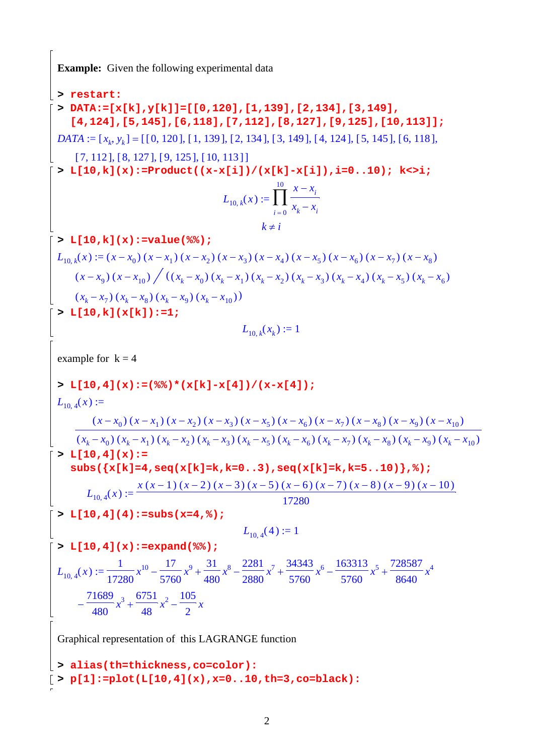**Example:** Given the following experimental data

**> restart: > DATA:=[x[k],y[k]]=[[0,120],[1,139],[2,134],[3,149], [4,124],[5,145],[6,118],[7,112],[8,127],[9,125],[10,113]];**  $DATA := [x_k, y_k] = [[0, 120], [1, 139], [2, 134], [3, 149], [4, 124], [5, 145], [6, 118],$  $[ 7, 112 ], [ 8, 127 ], [ 9, 125 ], [ 10, 113 ] ]$ **> L[10,k](x):=Product((x-x[i])/(x[k]-x[i]),i=0..10); k<>i;**  $L_{10, k}(x) := \prod$  $i = 0$  $\frac{10}{x}$  *x* − *x*<sub>*i*</sub>  $x_k - x_i$  $k \neq i$ **> L[10,k](x):=value(%%);**  $L_{10, k}(x) := (x - x_0) (x - x_1) (x - x_2) (x - x_3) (x - x_4) (x - x_5) (x - x_6) (x - x_7) (x - x_8)$  $(x-x_9)(x-x_{10})/((x_k-x_0)(x_k-x_1)(x_k-x_2)(x_k-x_3)(x_k-x_4)(x_k-x_5)(x_k-x_6))$  $(x_k - x_7) (x_k - x_8) (x_k - x_9) (x_k - x_{10})$ **> L[10,k](x[k]):=1;**  $L_{10,k}(x_k) := 1$ example for  $k = 4$ **> L[10,4](x):=(%%)\*(x[k]-x[4])/(x-x[4]);**  $L_{10.4}(x) :=$ *x* − x<sub>0</sub>  $(x - x_0)(x - x_1)(x - x_2)(x - x_3)(x - x_5)(x - x_6)(x - x_7)(x - x_8)(x - x_9)(x - x_{10})$  $(x_k - x_0)(x_k - x_1)(x_k - x_2)(x_k - x_3)(x_k - x_5)(x_k - x_6)(x_k - x_7)(x_k - x_8)(x_k - x_9)(x_k - x_{10})$  $> L[10,4](x)$ := **subs({x[k]=4,seq(x[k]=k,k=0..3),seq(x[k]=k,k=5..10)},%);**  $L_{10, 4}(x) :=$ *x* (*x* − 1) (*x* − 2) (*x* − 3) (*x* − 5) (*x* − 6) (*x* − 7) (*x* − 8) (*x* − 9) (*x* − 10) 17280 **> L[10,4](4):=subs(x=4,%);**  $L_{10,4}(4) := 1$ **> L[10,4](x):=expand(%%);**  $L_{10,4}(x)$ 1 17280  $x^{10} - \frac{17}{575}$ 5760  $x^9 + \frac{31}{100}$ 480  $x^8 - \frac{2281}{2888}$ 2880  $x^7 + \frac{34343}{5750}$ 5760  $x^6 - \frac{163313}{5750}$ 5760  $x^5 + \frac{728587}{0.640}$ 8640  $x^2 = \frac{1}{17200}x^{10} - \frac{17}{5750}x^9 + \frac{31}{100}x^8 - \frac{2201}{2000}x^7 + \frac{54543}{5750}x^6 - \frac{103313}{5750}x^5 + \frac{720307}{20500}x^4$ 71689 480  $x^3 + \frac{6751}{10}$ 48  $x^2 - \frac{105}{2}$ 2  $-\frac{1000}{100}x^3+\frac{1011}{10}x^2-\frac{100}{2}x$ Graphical representation of this LAGRANGE function **> alias(th=thickness,co=color): > p[1]:=plot(L[10,4](x),x=0..10,th=3,co=black):**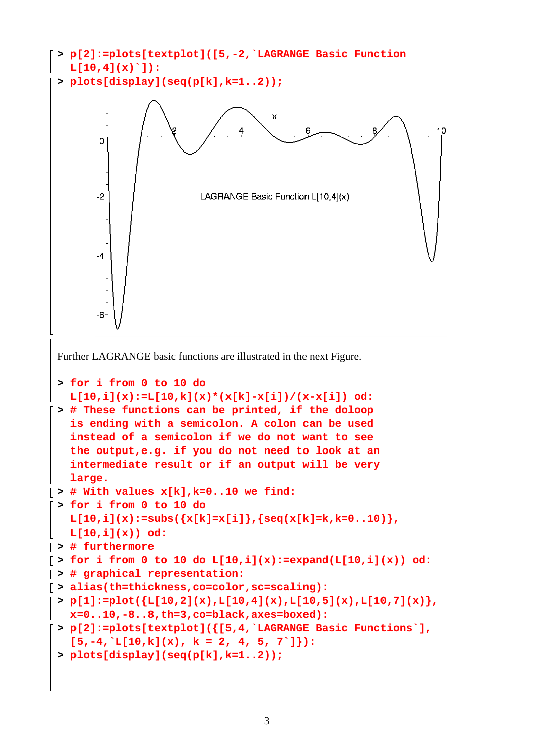```
> p[2]:=plots[textplot]([5,-2,`LAGRANGE Basic Function 
   L[10,4](x)`]):
 > plots[display](seq(p[k],k=1..2));
                                      \bar{x}\overline{4}106
        \Omega-2LAGRANGE Basic Function L[10,4](x)
        4
        -6Further LAGRANGE basic functions are illustrated in the next Figure. 
 > for i from 0 to 10 do 
   L[10,i](x):=L[10,k](x)*(x[k]-x[i])/(x-x[i]) od:
 > # These functions can be printed, if the doloop 
   is ending with a semicolon. A colon can be used 
   instead of a semicolon if we do not want to see 
   the output,e.g. if you do not need to look at an 
   intermediate result or if an output will be very 
   large. 
\lceil > # With values x[k], k=0..10 we find:
 > for i from 0 to 10 do 
   L[10,i](x):=\text{subs}(\{x[k]=x[i]\},\{seq(x[k]=k,k=0..10)\},L[10,i](x)) od:
> # furthermore 
\lceil > for i from 0 to 10 do L[10,i](x):=expand(L[10,i](x)) od:
> # graphical representation: 
> alias(th=thickness,co=color,sc=scaling):
\lceil > \text{p[1]:=plot}(\{ \text{L[10,2](x),L[10,4](x),L[10,5](x),L[10,7](x)} \}x=0..10,-8..8,th=3,co=black,axes=boxed): 
> p[2]:=plots[textplot]({[5,4,`LAGRANGE Basic Functions`], 
   [5,-4,'L[10,k](x), k = 2, 4, 5, 7']:
 > plots[display](seq(p[k],k=1..2));
```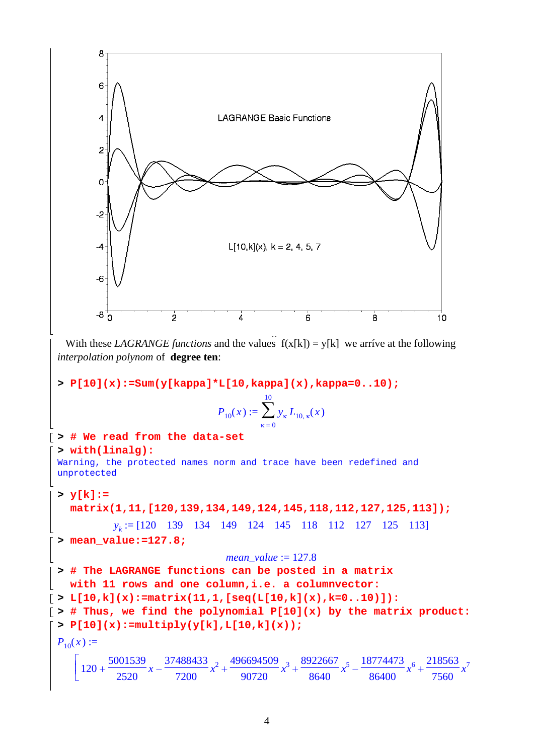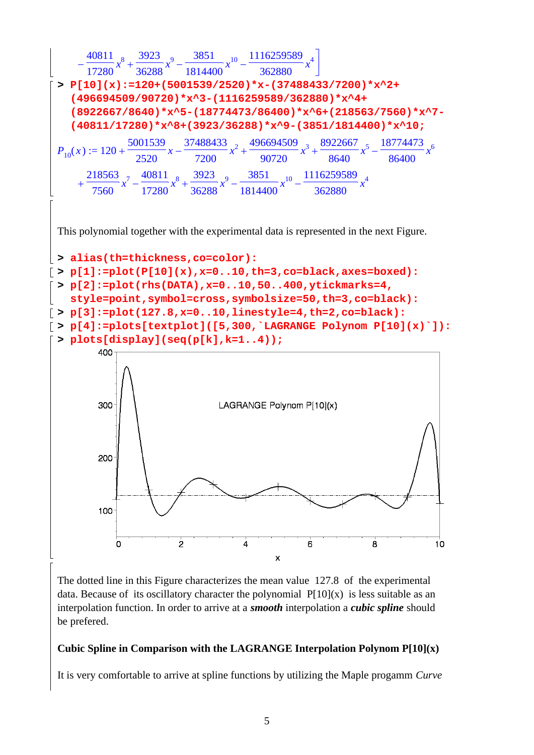

The dotted line in this Figure characterizes the mean value 127.8 of the experimental data. Because of its oscillatory character the polynomial  $P[10](x)$  is less suitable as an interpolation function. In order to arrive at a *smooth* interpolation a *cubic spline* should be prefered.

#### **Cubic Spline in Comparison with the LAGRANGE Interpolation Polynom P[10](x)**

It is very comfortable to arrive at spline functions by utilizing the Maple progamm *Curve*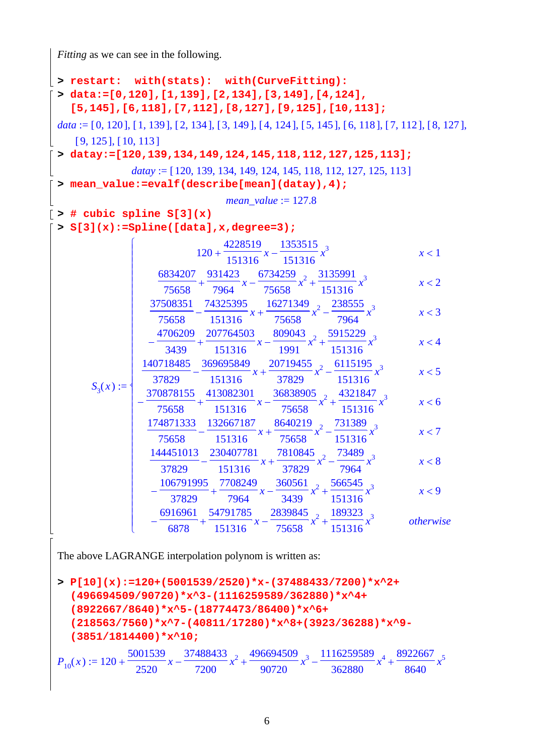*Fitting* as we can see in the following.

**> restart: with(stats): with(CurveFitting): > data:=[0,120],[1,139],[2,134],[3,149],[4,124], [5,145],[6,118],[7,112],[8,127],[9,125],[10,113];**  $data := [0, 120], [1, 139], [2, 134], [3, 149], [4, 124], [5, 145], [6, 118], [7, 112], [8, 127],$  $[ 9, 125 ]$ ,  $[ 10, 113 ]$ **> datay:=[120,139,134,149,124,145,118,112,127,125,113];** *datay* := [120, 139, 134, 149, 124, 145, 118, 112, 127, 125, 113] **> mean\_value:=evalf(describe[mean](datay),4);** *mean\_value* := 127.8  $\lceil$  > # cubic spline S[3](x) **> S[3](x):=Spline([data],x,degree=3);**  $S_3(x) :=$  $\sqrt{2}$  $\overline{\mathsf{L}}$  $\overline{a}$  $\overline{a}$  $\overline{a}$  $\overline{a}$  $\overline{a}$  $\overline{a}$  $\overline{a}$  $\overline{a}$  $\overline{a}$  $\overline{a}$  $\overline{a}$  $\overline{a}$  $\overline{a}$  $\overline{a}$  $\overline{a}$  $\overline{a}$  $\overline{a}$  $\overline{a}$  $\overline{a}$  $\overline{a}$  $\overline{\mathcal{L}}$ ⎪  $\overline{a}$  $\overline{a}$  $\overline{a}$  $\overline{a}$  $\overline{a}$  $\overline{a}$  $\overline{a}$  $\overline{a}$  $\overline{a}$  $\overline{a}$  $\overline{a}$  $\overline{a}$  $\overline{a}$  $\overline{a}$  $\overline{a}$  $\overline{a}$  $\overline{a}$  $\overline{a}$  $\overline{a}$  $\overline{\phantom{a}}$ ⎨  $120 + \frac{128815}{151215}x -$ 4228519 151316 *x* 1353515 151316 *x* 3 *x* < 1  $x + \frac{1}{\sqrt{2}} x - \frac{1}{\sqrt{2}} x^2 + \frac{1}{\sqrt{2}} x^2 + \cdots$ 6834207 75658 931423 7964 *x* 6734259 75658  $x^2 + \frac{3135991}{151215}$ 151316 *x* 3 *x* < 2  $x + \frac{1}{\sqrt{25}}x + \frac{1}{\sqrt{25}}x^2 -$ 37508351 75658 74325395 151316 *x* 16271349 75658  $x^2 - \frac{238555}{7051}$ 7964 *x* 3 *x* < 3  $-\frac{1}{2488} + \frac{20110 \text{ keV}}{151346}x - \frac{2050 \text{ keV}}{1004}x^2 +$ 4706209 3439 207764503 151316 *x* 809043 1991  $x^2 + \frac{5915229}{151215}$ 151316 *x* 3  $x < 4$  $x + \frac{201000}{270000}x + \frac{201200}{270000}x^2$ 140718485 37829 369695849 151316 *x* 20719455 37829  $x^2 - \frac{6115195}{151215}$ 151316 *x* 3 *x* < 5  $-\frac{1}{75550} + \frac{11002201}{151015}x - \frac{10000000}{75550}x^2 +$ 370878155 75658 413082301 151316 *x* 36838905 75658  $x^2 + \frac{4321847}{154345}$ 151316 *x* 3  $x < 6$  $x + \frac{1}{25650}x^2 -$ 174871333 75658 132667187 151316 *x* 8640219 75658  $x^2 - \frac{731389}{151315}$ 151316 *x* 3 *x* < 7  $x + \frac{20000000}{250000}x^2 -$ 144451013 37829 230407781 151316 *x* 7810845 37829  $x^2 - \frac{73489}{7054}$ 7964 *x* 3 *x* < 8  $-\frac{10011111}{27000} + \frac{11002111}{7001}x - \frac{1000001}{2100}x^2 +$ 106791995 37829 7708249 7964 *x* 360561 3439  $x^2 + \frac{566545}{154245}$ 151316 *x* 3  $x < 9$  $-\frac{1}{6000} + \frac{15101}{151015}x - \frac{10101}{75550}x^2 +$ 6916961 6878 54791785 151316 *x* 2839845 75658  $x^2 + \frac{189323}{151315}$ 151316 *x* <sup>3</sup> *otherwise*

The above LAGRANGE interpolation polynom is written as:

**> P[10](x):=120+(5001539/2520)\*x-(37488433/7200)\*x^2+ (496694509/90720)\*x^3-(1116259589/362880)\*x^4+ (8922667/8640)\*x^5-(18774473/86400)\*x^6+ (218563/7560)\*x^7-(40811/17280)\*x^8+(3923/36288)\*x^9- (3851/1814400)\*x^10;**  $P_{10}(x) := 120$ 5001539 2520 *x* 37488433 7200  $x^2 + \frac{496694509}{88728}$ 90720  $x^3 - \frac{1116259589}{258888}$ 362880  $x^4 + \frac{8922667}{8548}$ 8640  $x = 120 + \frac{5001333}{2500}x - \frac{37400433}{7200}x^2 + \frac{490034303}{25000}x^3 - \frac{111023330}{250000}x^4 + \frac{6322007}{25000}x^5$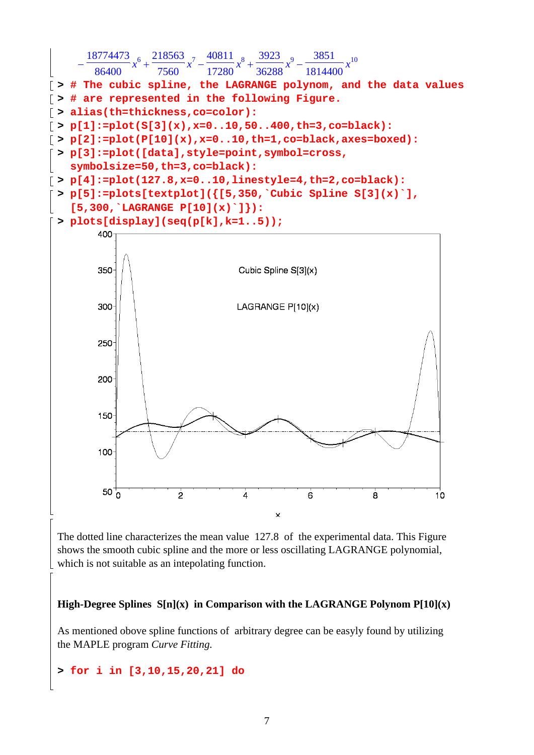

The dotted line characterizes the mean value 127.8 of the experimental data. This Figure shows the smooth cubic spline and the more or less oscillating LAGRANGE polynomial, which is not suitable as an intepolating function.

**High-Degree Splines S[n](x) in Comparison with the LAGRANGE Polynom P[10](x)** 

As mentioned obove spline functions of arbitrary degree can be easyly found by utilizing the MAPLE program *Curve Fitting.* 

## **> for i in [3,10,15,20,21] do**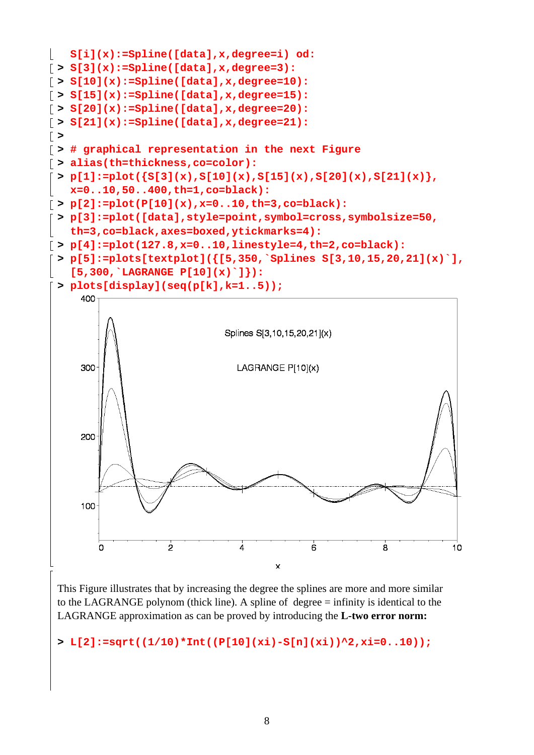

This Figure illustrates that by increasing the degree the splines are more and more similar to the LAGRANGE polynom (thick line). A spline of degree = infinity is identical to the LAGRANGE approximation as can be proved by introducing the **L-two error norm:** 

**> L[2]:=sqrt((1/10)\*Int((P[10](xi)-S[n](xi))^2,xi=0..10));**